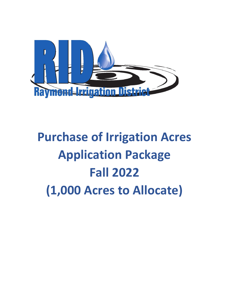

# **Purchase of Irrigation Acres Application Package Fall 2022 (1,000 Acres to Allocate)**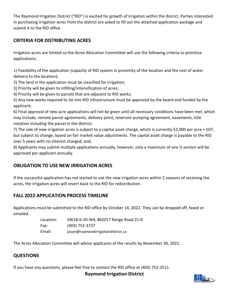The Raymond Irrigation District ("RID") is excited for growth of irrigation within the district. Parties interested in purchasing irrigation acres from the district are asked to fill out the attached application package and submit it to the RID office.

## **CRITERIA FOR DISTRIBUTING ACRES**

Irrigation acres are limited so the Acres Allocation Committee will use the following criteria to prioritize applications:

1) Feasibility of the application (capacity of RID system in proximity of the location and the cost of water delivery to the location);

2) The land in the application must be classified for irrigation;

3) Priority will be given to infilling/intensification of acres;

4) Priority will be given to parcels that are adjacent to RID works;

5) Any new works required to tie into RID infrastructure must be approved by the board and funded by the applicant;

6) Final approval of new acre applications will not be given until all necessary conditions have been met, which may include, remote parcel agreements, delivery point, reservoir pumping agreement, easements, title notation including the parcel in the district;

7) The sale of new irrigation acres is subject to a capital asset charge, which is currently \$2,000 per acre + GST, but subject to change, based on fair market value adjustments. The capital asset charge is payable to the RID over 5 years with no interest charged; and,

8) Applicants may submit multiple applications annually, however, only a maximum of one % section will be approved per applicant annually.

# **OBLIGATION TO USE NEW IRRIGATION ACRES**

If the successful application has not started to use the new irrigation acres within 2 seasons of receiving the acres, the irrigation acres will revert back to the RID for redistribution.

# **FALL 2022 APPLICATION PROCESS TIMELINE**

Applications must be submitted to the RID office by October 14, 2022. They can be dropped off, faxed or emailed.

| Location: | SW18-6-20-W4, #62017 Range Road 21-0 |
|-----------|--------------------------------------|
| Fax:      | (403) 752-3737                       |
| Email:    | jason@raymondirrigationdistrict.ca   |

The Acres Allocation Committee will advise applicants of the results by November 30, 2022.

### **QUESTIONS**

If you have any questions, please feel free to contact the RID office at (403) 752-3511.

**Raymond Irrigation District**

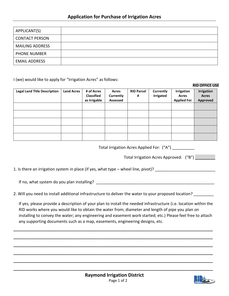| APPLICANT(S)           |  |
|------------------------|--|
| <b>CONTACT PERSON</b>  |  |
| <b>MAILING ADDRESS</b> |  |
| <b>PHONE NUMBER</b>    |  |
| <b>EMAIL ADDRESS</b>   |  |

I (we) would like to apply for "Irrigation Acres" as follows:

#### **RID OFFICE USE**

| <b>Legal Land Title Description</b> | <b>Land Acres</b> | # of Acres<br><b>Classified</b><br>as Irrigable | Acres<br>Currently<br>Assessed | <b>RID Parcel</b><br># | Currently<br><b>Irrigated</b> | Irrigation<br>Acres<br><b>Applied For</b> | <b>Irrigation</b><br><b>Acres</b><br><b>Approved</b> |
|-------------------------------------|-------------------|-------------------------------------------------|--------------------------------|------------------------|-------------------------------|-------------------------------------------|------------------------------------------------------|
|                                     |                   |                                                 |                                |                        |                               |                                           |                                                      |
|                                     |                   |                                                 |                                |                        |                               |                                           |                                                      |
|                                     |                   |                                                 |                                |                        |                               |                                           |                                                      |
|                                     |                   |                                                 |                                |                        |                               |                                           |                                                      |
|                                     |                   |                                                 |                                |                        |                               |                                           |                                                      |

Total Irrigation Acres Applied For: ("A") \_\_\_\_\_\_\_\_\_\_

Total Irrigation Acres Approved: ("B") \_\_\_\_\_\_\_\_\_

1. Is there an irrigation system in place (if yes, what type – wheel line, pivot)? \_\_\_\_\_\_\_\_\_\_\_\_\_\_\_\_\_\_\_\_\_\_\_\_\_\_\_

If no, what system do you plan installing?

2. Will you need to install additional infrastructure to deliver the water to your proposed location? \_\_\_\_\_\_\_\_

If yes, please provide a description of your plan to install the needed infrastructure (i.e. location within the RID works where you would like to obtain the water from; diameter and length of pipe you plan on installing to convey the water; any engineering and easement work started; etc.) Please feel free to attach any supporting documents such as a map, easements, engineering designs, etc.

\_\_\_\_\_\_\_\_\_\_\_\_\_\_\_\_\_\_\_\_\_\_\_\_\_\_\_\_\_\_\_\_\_\_\_\_\_\_\_\_\_\_\_\_\_\_\_\_\_\_\_\_\_\_\_\_\_\_\_\_\_\_\_\_\_\_\_

\_\_\_\_\_\_\_\_\_\_\_\_\_\_\_\_\_\_\_\_\_\_\_\_\_\_\_\_\_\_\_\_\_\_\_\_\_\_\_\_\_\_\_\_\_\_\_\_\_\_\_\_\_\_\_\_\_\_\_\_\_\_\_\_\_\_\_

\_\_\_\_\_\_\_\_\_\_\_\_\_\_\_\_\_\_\_\_\_\_\_\_\_\_\_\_\_\_\_\_\_\_\_\_\_\_\_\_\_\_\_\_\_\_\_\_\_\_\_\_\_\_\_\_\_\_\_\_\_\_\_\_\_\_\_

\_\_\_\_\_\_\_\_\_\_\_\_\_\_\_\_\_\_\_\_\_\_\_\_\_\_\_\_\_\_\_\_\_\_\_\_\_\_\_\_\_\_\_\_\_\_\_\_\_\_\_\_\_\_\_\_\_\_\_\_\_\_\_\_\_\_\_

\_\_\_\_\_\_\_\_\_\_\_\_\_\_\_\_\_\_\_\_\_\_\_\_\_\_\_\_\_\_\_\_\_\_\_\_\_\_\_\_\_\_\_\_\_\_\_\_\_\_\_\_\_\_\_\_\_\_\_\_\_\_\_\_\_\_\_

\_\_\_\_\_\_\_\_\_\_\_\_\_\_\_\_\_\_\_\_\_\_\_\_\_\_\_\_\_\_\_\_\_\_\_\_\_\_\_\_\_\_\_\_\_\_\_\_\_\_\_\_\_\_\_\_\_\_\_\_\_\_\_\_\_\_\_